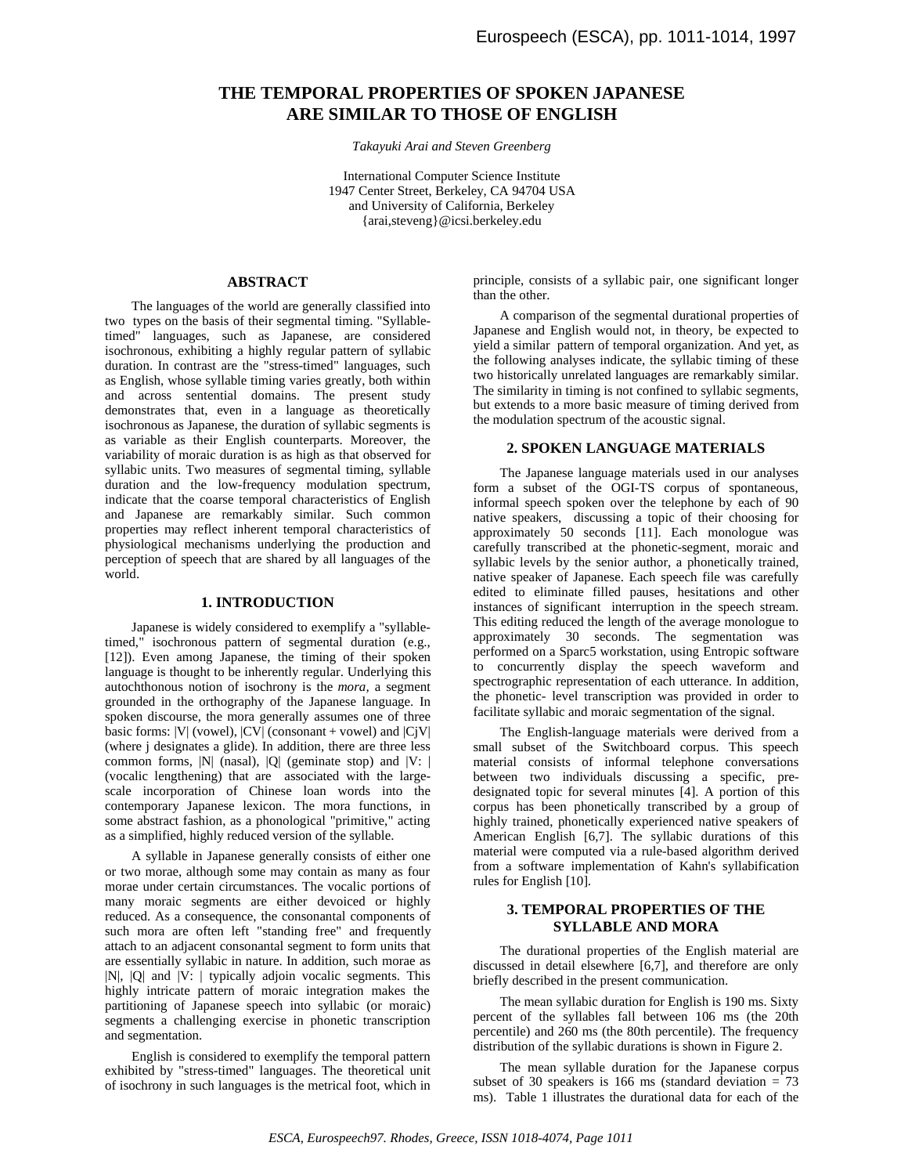# **THE TEMPORAL PROPERTIES OF SPOKEN JAPANESE ARE SIMILAR TO THOSE OF ENGLISH**

*Takayuki Arai and Steven Greenberg*

International Computer Science Institute 1947 Center Street, Berkeley, CA 94704 USA and University of California, Berkeley {arai,steveng}@icsi.berkeley.edu

## **ABSTRACT**

The languages of the world are generally classified into two types on the basis of their segmental timing. "Syllabletimed" languages, such as Japanese, are considered isochronous, exhibiting a highly regular pattern of syllabic duration. In contrast are the "stress-timed" languages, such as English, whose syllable timing varies greatly, both within and across sentential domains. The present study demonstrates that, even in a language as theoretically isochronous as Japanese, the duration of syllabic segments is as variable as their English counterparts. Moreover, the variability of moraic duration is as high as that observed for syllabic units. Two measures of segmental timing, syllable duration and the low-frequency modulation spectrum, indicate that the coarse temporal characteristics of English and Japanese are remarkably similar. Such common properties may reflect inherent temporal characteristics of physiological mechanisms underlying the production and perception of speech that are shared by all languages of the world.

#### **1. INTRODUCTION**

Japanese is widely considered to exemplify a "syllabletimed," isochronous pattern of segmental duration (e.g., [12]). Even among Japanese, the timing of their spoken language is thought to be inherently regular. Underlying this autochthonous notion of isochrony is the *mora,* a segment grounded in the orthography of the Japanese language. In spoken discourse, the mora generally assumes one of three basic forms:  $|V|$  (vowel),  $|CV|$  (consonant + vowel) and  $|C|V|$ (where j designates a glide). In addition, there are three less common forms, |N| (nasal), |Q| (geminate stop) and |V: | (vocalic lengthening) that are associated with the largescale incorporation of Chinese loan words into the contemporary Japanese lexicon. The mora functions, in some abstract fashion, as a phonological "primitive," acting as a simplified, highly reduced version of the syllable.

A syllable in Japanese generally consists of either one or two morae, although some may contain as many as four morae under certain circumstances. The vocalic portions of many moraic segments are either devoiced or highly reduced. As a consequence, the consonantal components of such mora are often left "standing free" and frequently attach to an adjacent consonantal segment to form units that are essentially syllabic in nature. In addition, such morae as |N|, |Q| and |V: | typically adjoin vocalic segments. This highly intricate pattern of moraic integration makes the partitioning of Japanese speech into syllabic (or moraic) segments a challenging exercise in phonetic transcription and segmentation.

English is considered to exemplify the temporal pattern exhibited by "stress-timed" languages. The theoretical unit of isochrony in such languages is the metrical foot, which in

principle, consists of a syllabic pair, one significant longer than the other.

A comparison of the segmental durational properties of Japanese and English would not, in theory, be expected to yield a similar pattern of temporal organization. And yet, as the following analyses indicate, the syllabic timing of these two historically unrelated languages are remarkably similar. The similarity in timing is not confined to syllabic segments, but extends to a more basic measure of timing derived from the modulation spectrum of the acoustic signal.

## **2. SPOKEN LANGUAGE MATERIALS**

The Japanese language materials used in our analyses form a subset of the OGI-TS corpus of spontaneous, informal speech spoken over the telephone by each of 90 native speakers, discussing a topic of their choosing for approximately 50 seconds [11]. Each monologue was carefully transcribed at the phonetic-segment, moraic and syllabic levels by the senior author, a phonetically trained, native speaker of Japanese. Each speech file was carefully edited to eliminate filled pauses, hesitations and other instances of significant interruption in the speech stream. This editing reduced the length of the average monologue to approximately 30 seconds. The segmentation was performed on a Sparc5 workstation, using Entropic software to concurrently display the speech waveform and spectrographic representation of each utterance. In addition, the phonetic- level transcription was provided in order to facilitate syllabic and moraic segmentation of the signal.

The English-language materials were derived from a small subset of the Switchboard corpus. This speech material consists of informal telephone conversations between two individuals discussing a specific, predesignated topic for several minutes [4]. A portion of this corpus has been phonetically transcribed by a group of highly trained, phonetically experienced native speakers of American English [6,7]. The syllabic durations of this material were computed via a rule-based algorithm derived from a software implementation of Kahn's syllabification rules for English [10].

#### **3. TEMPORAL PROPERTIES OF THE SYLLABLE AND MORA**

The durational properties of the English material are discussed in detail elsewhere [6,7], and therefore are only briefly described in the present communication.

The mean syllabic duration for English is 190 ms. Sixty percent of the syllables fall between 106 ms (the 20th percentile) and 260 ms (the 80th percentile). The frequency distribution of the syllabic durations is shown in Figure 2.

The mean syllable duration for the Japanese corpus subset of 30 speakers is 166 ms (standard deviation  $= 73$ ) ms). Table 1 illustrates the durational data for each of the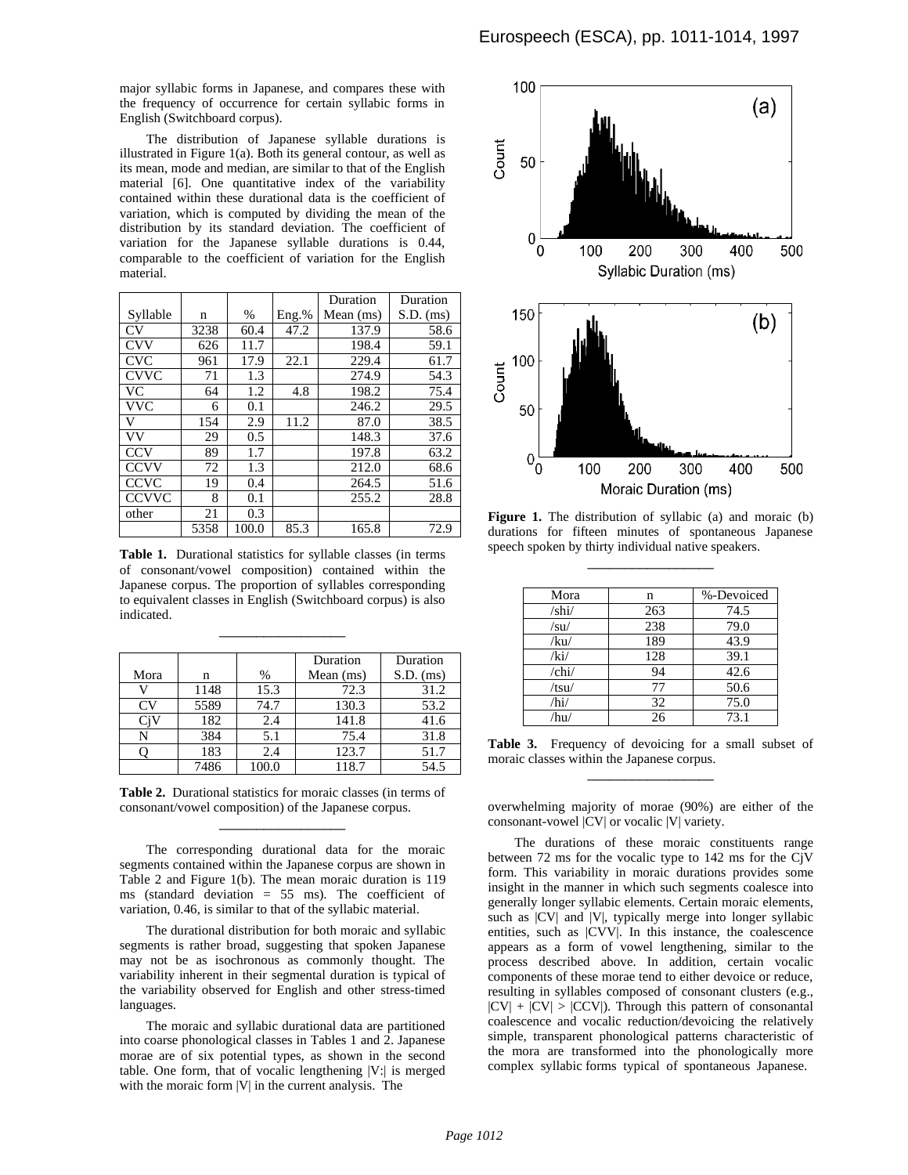major syllabic forms in Japanese, and compares these with the frequency of occurrence for certain syllabic forms in English (Switchboard corpus).

The distribution of Japanese syllable durations is illustrated in Figure 1(a). Both its general contour, as well as its mean, mode and median, are similar to that of the English material [6]. One quantitative index of the variability contained within these durational data is the coefficient of variation, which is computed by dividing the mean of the distribution by its standard deviation. The coefficient of variation for the Japanese syllable durations is 0.44, comparable to the coefficient of variation for the English material.

|              |      |       |       | Duration    | Duration    |
|--------------|------|-------|-------|-------------|-------------|
| Syllable     | n    | $\%$  | Eng.% | Mean $(ms)$ | $S.D.$ (ms) |
| CV           | 3238 | 60.4  | 47.2  | 137.9       | 58.6        |
| CVV          | 626  | 11.7  |       | 198.4       | 59.1        |
| <b>CVC</b>   | 961  | 17.9  | 22.1  | 229.4       | 61.7        |
| <b>CVVC</b>  | 71   | 1.3   |       | 274.9       | 54.3        |
| VC           | 64   | 1.2   | 4.8   | 198.2       | 75.4        |
| VVC          | 6    | 0.1   |       | 246.2       | 29.5        |
| V            | 154  | 2.9   | 11.2  | 87.0        | 38.5        |
| VV           | 29   | 0.5   |       | 148.3       | 37.6        |
| CCV          | 89   | 1.7   |       | 197.8       | 63.2        |
| <b>CCVV</b>  | 72   | 1.3   |       | 212.0       | 68.6        |
| <b>CCVC</b>  | 19   | 0.4   |       | 264.5       | 51.6        |
| <b>CCVVC</b> | 8    | 0.1   |       | 255.2       | 28.8        |
| other        | 21   | 0.3   |       |             |             |
|              | 5358 | 100.0 | 85.3  | 165.8       | 72.9        |

**Table 1.** Durational statistics for syllable classes (in terms of consonant/vowel composition) contained within the Japanese corpus. The proportion of syllables corresponding to equivalent classes in English (Switchboard corpus) is also indicated.

\_\_\_\_\_\_\_\_\_\_\_\_\_\_\_\_\_

|                |      |       | Duration    | Duration    |
|----------------|------|-------|-------------|-------------|
| Mora           | n    | $\%$  | Mean $(ms)$ | $S.D.$ (ms) |
| v              | 1148 | 15.3  | 72.3        | 31.2        |
| CV <sub></sub> | 5589 | 74.7  | 130.3       | 53.2        |
|                | 182  | 2.4   | 141.8       | 41.6        |
| N              | 384  | 5.1   | 75.4        | 31.8        |
|                | 183  | 2.4   | 123.7       | 51.7        |
|                | 7486 | 100.0 | 118.7       | 54.5        |

**Table 2.** Durational statistics for moraic classes (in terms of consonant/vowel composition) of the Japanese corpus. \_\_\_\_\_\_\_\_\_\_\_\_\_\_\_\_\_

The corresponding durational data for the moraic segments contained within the Japanese corpus are shown in Table 2 and Figure 1(b). The mean moraic duration is 119 ms (standard deviation  $= 55$  ms). The coefficient of variation, 0.46, is similar to that of the syllabic material.

The durational distribution for both moraic and syllabic segments is rather broad, suggesting that spoken Japanese may not be as isochronous as commonly thought. The variability inherent in their segmental duration is typical of the variability observed for English and other stress-timed languages.

The moraic and syllabic durational data are partitioned into coarse phonological classes in Tables 1 and 2. Japanese morae are of six potential types, as shown in the second table. One form, that of vocalic lengthening  $|V:$  is merged with the moraic form  $|V|$  in the current analysis. The



**Figure 1.** The distribution of syllabic (a) and moraic (b) durations for fifteen minutes of spontaneous Japanese speech spoken by thirty individual native speakers. \_\_\_\_\_\_\_\_\_\_\_\_\_\_\_\_\_

| Mora             | n   | %-Devoiced |
|------------------|-----|------------|
| /shi/            | 263 | 74.5       |
| $\sqrt{\rm su/}$ | 238 | 79.0       |
| /ku/             | 189 | 43.9       |
| /ki/             | 128 | 39.1       |
| /chi/            | 94  | 42.6       |
| /tsu/            | 77  | 50.6       |
| /hi/             | 32  | 75.0       |
| /hu/             | 26  | 73.1       |

Table 3. Frequency of devoicing for a small subset of moraic classes within the Japanese corpus. \_\_\_\_\_\_\_\_\_\_\_\_\_\_\_\_\_

overwhelming majority of morae (90%) are either of the consonant-vowel |CV| or vocalic |V| variety.

The durations of these moraic constituents range between 72 ms for the vocalic type to 142 ms for the CjV form. This variability in moraic durations provides some insight in the manner in which such segments coalesce into generally longer syllabic elements. Certain moraic elements, such as  $|CV|$  and  $|V|$ , typically merge into longer syllabic entities, such as |CVV|. In this instance, the coalescence appears as a form of vowel lengthening, similar to the process described above. In addition, certain vocalic components of these morae tend to either devoice or reduce, resulting in syllables composed of consonant clusters (e.g.,  $|CV| + |CV| > |CCV|$ . Through this pattern of consonantal coalescence and vocalic reduction/devoicing the relatively simple, transparent phonological patterns characteristic of the mora are transformed into the phonologically more complex syllabic forms typical of spontaneous Japanese.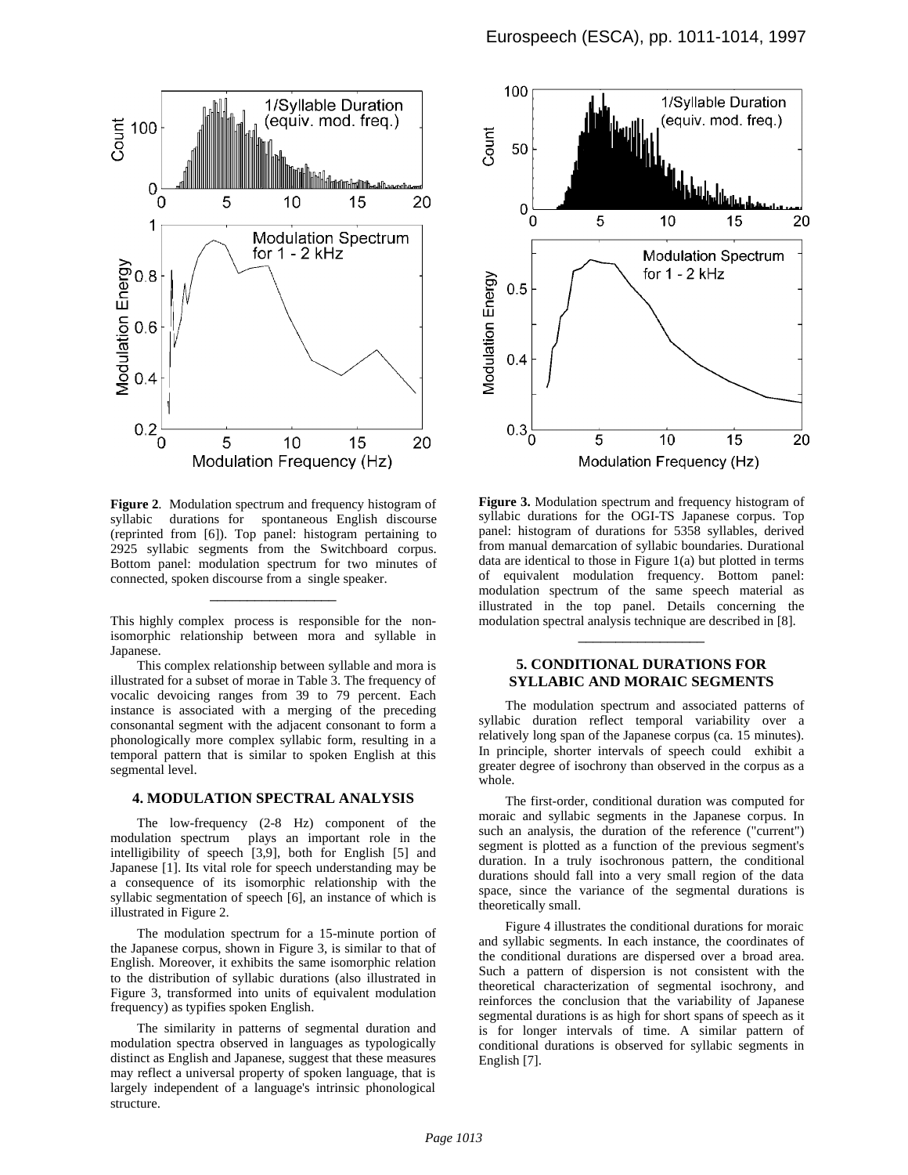

**Figure 2**. Modulation spectrum and frequency histogram of syllabic durations for spontaneous English discourse (reprinted from [6]). Top panel: histogram pertaining to 2925 syllabic segments from the Switchboard corpus. Bottom panel: modulation spectrum for two minutes of connected, spoken discourse from a single speaker.

This highly complex process is responsible for the nonisomorphic relationship between mora and syllable in Japanese.

\_\_\_\_\_\_\_\_\_\_\_\_\_\_\_\_\_

This complex relationship between syllable and mora is illustrated for a subset of morae in Table 3. The frequency of vocalic devoicing ranges from 39 to 79 percent. Each instance is associated with a merging of the preceding consonantal segment with the adjacent consonant to form a phonologically more complex syllabic form, resulting in a temporal pattern that is similar to spoken English at this segmental level.

#### **4. MODULATION SPECTRAL ANALYSIS**

The low-frequency (2-8 Hz) component of the modulation spectrum plays an important role in the intelligibility of speech [3,9], both for English [5] and Japanese [1]. Its vital role for speech understanding may be a consequence of its isomorphic relationship with the syllabic segmentation of speech [6], an instance of which is illustrated in Figure 2.

The modulation spectrum for a 15-minute portion of the Japanese corpus, shown in Figure 3, is similar to that of English. Moreover, it exhibits the same isomorphic relation to the distribution of syllabic durations (also illustrated in Figure 3, transformed into units of equivalent modulation frequency) as typifies spoken English.

The similarity in patterns of segmental duration and modulation spectra observed in languages as typologically distinct as English and Japanese, suggest that these measures may reflect a universal property of spoken language, that is largely independent of a language's intrinsic phonological structure.



**Figure 3.** Modulation spectrum and frequency histogram of syllabic durations for the OGI-TS Japanese corpus. Top panel: histogram of durations for 5358 syllables, derived from manual demarcation of syllabic boundaries. Durational data are identical to those in Figure 1(a) but plotted in terms of equivalent modulation frequency. Bottom panel: modulation spectrum of the same speech material as illustrated in the top panel. Details concerning the modulation spectral analysis technique are described in [8].

## **5. CONDITIONAL DURATIONS FOR SYLLABIC AND MORAIC SEGMENTS**

\_\_\_\_\_\_\_\_\_\_\_\_\_\_\_\_\_

The modulation spectrum and associated patterns of syllabic duration reflect temporal variability over a relatively long span of the Japanese corpus (ca. 15 minutes). In principle, shorter intervals of speech could exhibit a greater degree of isochrony than observed in the corpus as a whole.

The first-order, conditional duration was computed for moraic and syllabic segments in the Japanese corpus. In such an analysis, the duration of the reference ("current") segment is plotted as a function of the previous segment's duration. In a truly isochronous pattern, the conditional durations should fall into a very small region of the data space, since the variance of the segmental durations is theoretically small.

Figure 4 illustrates the conditional durations for moraic and syllabic segments. In each instance, the coordinates of the conditional durations are dispersed over a broad area. Such a pattern of dispersion is not consistent with the theoretical characterization of segmental isochrony, and reinforces the conclusion that the variability of Japanese segmental durations is as high for short spans of speech as it is for longer intervals of time. A similar pattern of conditional durations is observed for syllabic segments in English [7].